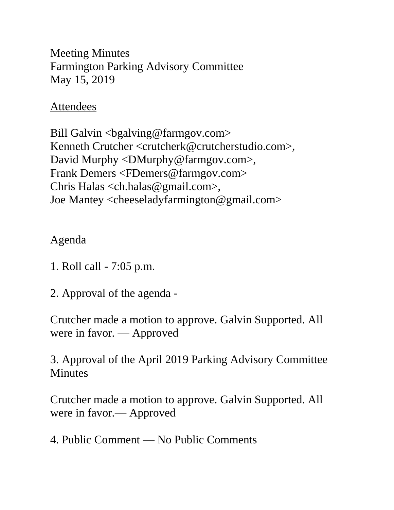Meeting Minutes Farmington Parking Advisory Committee May 15, 2019

## Attendees

Bill Galvin <br/>bgalving@farmgov.com> Kenneth Crutcher <crutcherk@crutcherstudio.com>, David Murphy <DMurphy@farmgov.com>, Frank Demers <FDemers@farmgov.com> Chris Halas <ch.halas@gmail.com>, Joe Mantey <cheeseladyfarmington@gmail.com>

## Agenda

- 1. Roll call 7:05 p.m.
- 2. Approval of the agenda -

Crutcher made a motion to approve. Galvin Supported. All were in favor. — Approved

3. Approval of the April 2019 Parking Advisory Committee **Minutes** 

Crutcher made a motion to approve. Galvin Supported. All were in favor.— Approved

4. Public Comment — No Public Comments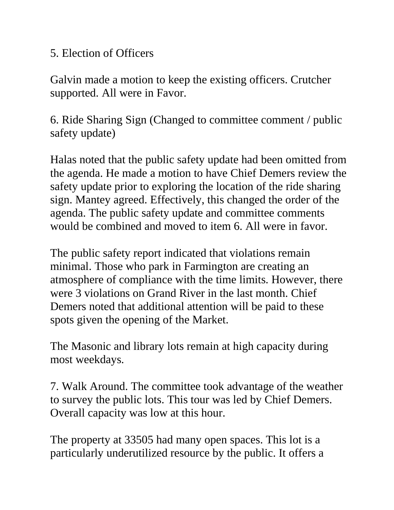## 5. Election of Officers

Galvin made a motion to keep the existing officers. Crutcher supported. All were in Favor.

6. Ride Sharing Sign (Changed to committee comment / public safety update)

Halas noted that the public safety update had been omitted from the agenda. He made a motion to have Chief Demers review the safety update prior to exploring the location of the ride sharing sign. Mantey agreed. Effectively, this changed the order of the agenda. The public safety update and committee comments would be combined and moved to item 6. All were in favor.

The public safety report indicated that violations remain minimal. Those who park in Farmington are creating an atmosphere of compliance with the time limits. However, there were 3 violations on Grand River in the last month. Chief Demers noted that additional attention will be paid to these spots given the opening of the Market.

The Masonic and library lots remain at high capacity during most weekdays.

7. Walk Around. The committee took advantage of the weather to survey the public lots. This tour was led by Chief Demers. Overall capacity was low at this hour.

The property at 33505 had many open spaces. This lot is a particularly underutilized resource by the public. It offers a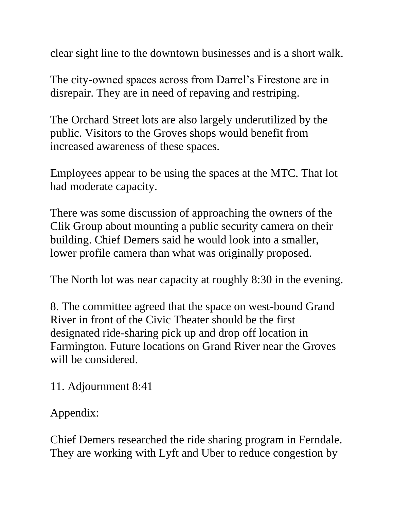clear sight line to the downtown businesses and is a short walk.

The city-owned spaces across from Darrel's Firestone are in disrepair. They are in need of repaving and restriping.

The Orchard Street lots are also largely underutilized by the public. Visitors to the Groves shops would benefit from increased awareness of these spaces.

Employees appear to be using the spaces at the MTC. That lot had moderate capacity.

There was some discussion of approaching the owners of the Clik Group about mounting a public security camera on their building. Chief Demers said he would look into a smaller, lower profile camera than what was originally proposed.

The North lot was near capacity at roughly 8:30 in the evening.

8. The committee agreed that the space on west-bound Grand River in front of the Civic Theater should be the first designated ride-sharing pick up and drop off location in Farmington. Future locations on Grand River near the Groves will be considered.

11. Adjournment 8:41

Appendix:

Chief Demers researched the ride sharing program in Ferndale. They are working with Lyft and Uber to reduce congestion by